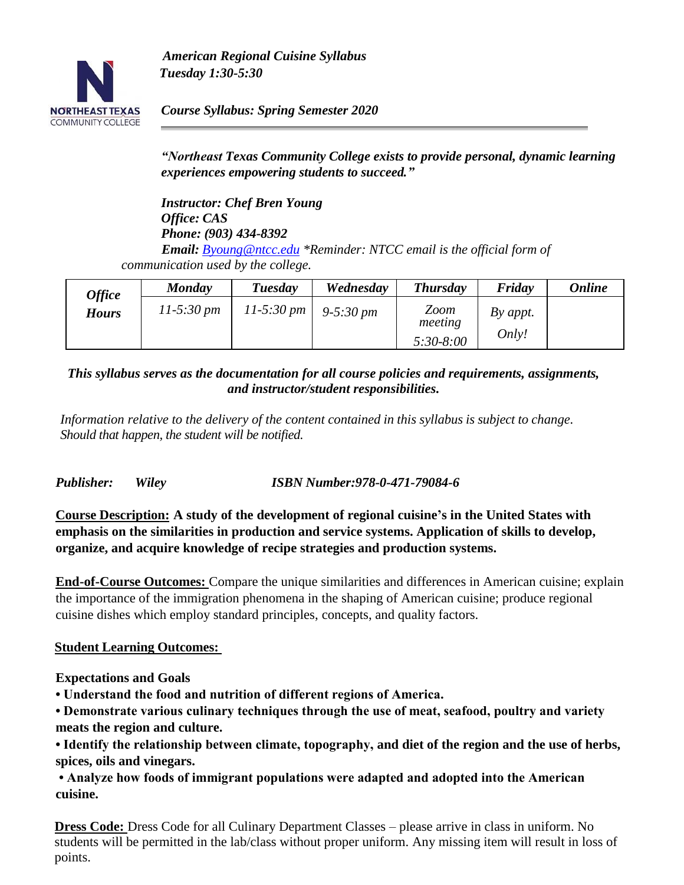

*American Regional Cuisine Syllabus Tuesday 1:30-5:30* 

*Course Syllabus: Spring Semester 2020* 

*"Northeast Texas Community College exists to provide personal, dynamic learning experiences empowering students to succeed."*

*Instructor: Chef Bren Young Office: CAS Phone: (903) 434-8392 Email: [Byoung@ntcc.edu](mailto:Byoung@ntcc.edu) \*Reminder: NTCC email is the official form of communication used by the college.*

| <b>Office</b> | <b>Monday</b>          | Tuesday                  | Wednesday               | <b>Thursday</b>                | Friday            | <b>Online</b> |
|---------------|------------------------|--------------------------|-------------------------|--------------------------------|-------------------|---------------|
| <b>Hours</b>  | $11-5:30 \, \text{pm}$ | $11 - 5:30 \, \text{pm}$ | $9 - 5:30 \, \text{pm}$ | Zoom<br>meeting<br>$5:30-8:00$ | By appt.<br>Only! |               |

*This syllabus serves as the documentation for all course policies and requirements, assignments, and instructor/student responsibilities.*

*Information relative to the delivery of the content contained in this syllabus is subject to change. Should that happen, the student will be notified.*

*Publisher: Wiley ISBN Number:978-0-471-79084-6*

**Course Description: A study of the development of regional cuisine's in the United States with emphasis on the similarities in production and service systems. Application of skills to develop, organize, and acquire knowledge of recipe strategies and production systems.** 

**End-of-Course Outcomes:** Compare the unique similarities and differences in American cuisine; explain the importance of the immigration phenomena in the shaping of American cuisine; produce regional cuisine dishes which employ standard principles, concepts, and quality factors.

### **Student Learning Outcomes:**

### **Expectations and Goals**

**• Understand the food and nutrition of different regions of America.** 

**• Demonstrate various culinary techniques through the use of meat, seafood, poultry and variety meats the region and culture.** 

**• Identify the relationship between climate, topography, and diet of the region and the use of herbs, spices, oils and vinegars.** 

**• Analyze how foods of immigrant populations were adapted and adopted into the American cuisine.** 

**Dress Code:** Dress Code for all Culinary Department Classes – please arrive in class in uniform. No students will be permitted in the lab/class without proper uniform. Any missing item will result in loss of points.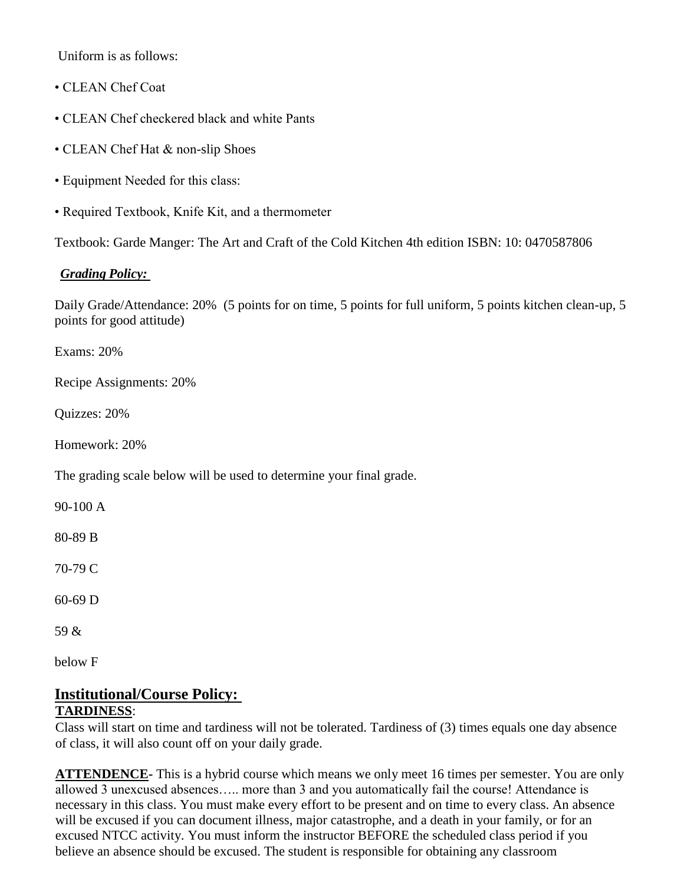Uniform is as follows:

- CLEAN Chef Coat
- CLEAN Chef checkered black and white Pants
- CLEAN Chef Hat & non-slip Shoes
- Equipment Needed for this class:
- Required Textbook, Knife Kit, and a thermometer

Textbook: Garde Manger: The Art and Craft of the Cold Kitchen 4th edition ISBN: 10: 0470587806

# *Grading Policy:*

Daily Grade/Attendance: 20% (5 points for on time, 5 points for full uniform, 5 points kitchen clean-up, 5 points for good attitude)

Exams: 20%

Recipe Assignments: 20%

Quizzes: 20%

Homework: 20%

The grading scale below will be used to determine your final grade.

90-100 A

80-89 B

70-79 C

60-69 D

59 &

below F

#### **Institutional/Course Policy: TARDINESS**:

Class will start on time and tardiness will not be tolerated. Tardiness of (3) times equals one day absence of class, it will also count off on your daily grade.

**ATTENDENCE**- This is a hybrid course which means we only meet 16 times per semester. You are only allowed 3 unexcused absences….. more than 3 and you automatically fail the course! Attendance is necessary in this class. You must make every effort to be present and on time to every class. An absence will be excused if you can document illness, major catastrophe, and a death in your family, or for an excused NTCC activity. You must inform the instructor BEFORE the scheduled class period if you believe an absence should be excused. The student is responsible for obtaining any classroom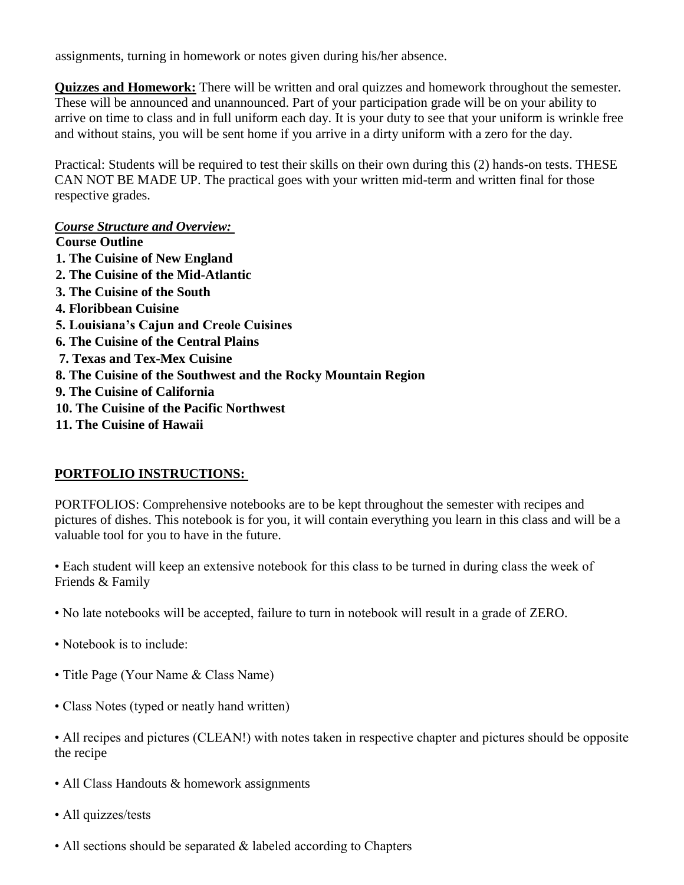assignments, turning in homework or notes given during his/her absence.

**Quizzes and Homework:** There will be written and oral quizzes and homework throughout the semester. These will be announced and unannounced. Part of your participation grade will be on your ability to arrive on time to class and in full uniform each day. It is your duty to see that your uniform is wrinkle free and without stains, you will be sent home if you arrive in a dirty uniform with a zero for the day.

Practical: Students will be required to test their skills on their own during this (2) hands-on tests. THESE CAN NOT BE MADE UP. The practical goes with your written mid-term and written final for those respective grades.

### *Course Structure and Overview:*

**Course Outline 1. The Cuisine of New England 2. The Cuisine of the Mid-Atlantic 3. The Cuisine of the South 4. Floribbean Cuisine 5. Louisiana's Cajun and Creole Cuisines 6. The Cuisine of the Central Plains 7. Texas and Tex-Mex Cuisine 8. The Cuisine of the Southwest and the Rocky Mountain Region 9. The Cuisine of California 10. The Cuisine of the Pacific Northwest 11. The Cuisine of Hawaii** 

# **PORTFOLIO INSTRUCTIONS:**

PORTFOLIOS: Comprehensive notebooks are to be kept throughout the semester with recipes and pictures of dishes. This notebook is for you, it will contain everything you learn in this class and will be a valuable tool for you to have in the future.

• Each student will keep an extensive notebook for this class to be turned in during class the week of Friends & Family

- No late notebooks will be accepted, failure to turn in notebook will result in a grade of ZERO.
- Notebook is to include:
- Title Page (Your Name & Class Name)
- Class Notes (typed or neatly hand written)
- All recipes and pictures (CLEAN!) with notes taken in respective chapter and pictures should be opposite the recipe
- All Class Handouts & homework assignments
- All quizzes/tests
- All sections should be separated  $&$  labeled according to Chapters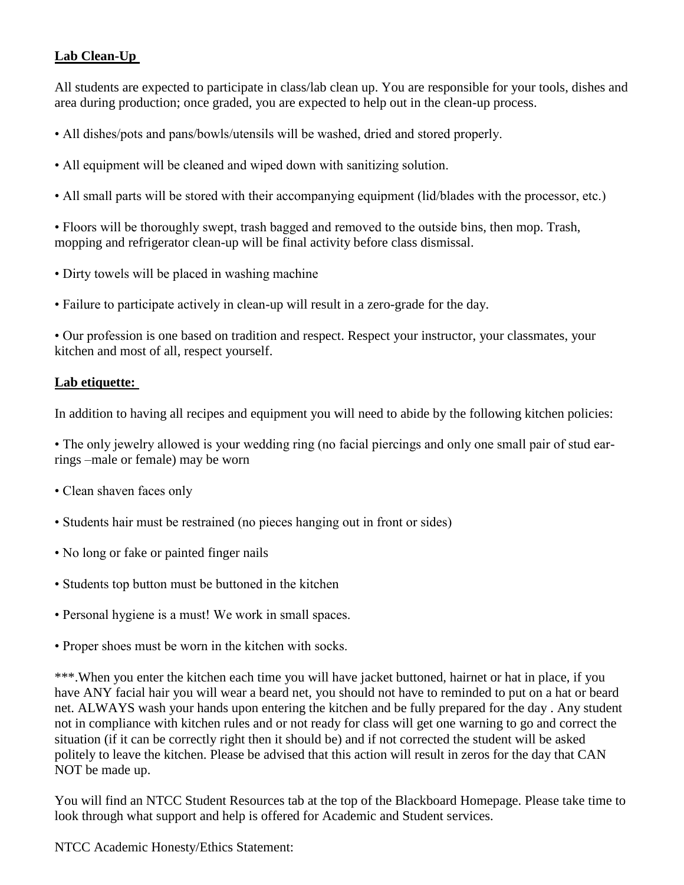# **Lab Clean-Up**

All students are expected to participate in class/lab clean up. You are responsible for your tools, dishes and area during production; once graded, you are expected to help out in the clean-up process.

- All dishes/pots and pans/bowls/utensils will be washed, dried and stored properly.
- All equipment will be cleaned and wiped down with sanitizing solution.
- All small parts will be stored with their accompanying equipment (lid/blades with the processor, etc.)

• Floors will be thoroughly swept, trash bagged and removed to the outside bins, then mop. Trash, mopping and refrigerator clean-up will be final activity before class dismissal.

- Dirty towels will be placed in washing machine
- Failure to participate actively in clean-up will result in a zero-grade for the day.

• Our profession is one based on tradition and respect. Respect your instructor, your classmates, your kitchen and most of all, respect yourself.

#### **Lab etiquette:**

In addition to having all recipes and equipment you will need to abide by the following kitchen policies:

• The only jewelry allowed is your wedding ring (no facial piercings and only one small pair of stud earrings –male or female) may be worn

- Clean shaven faces only
- Students hair must be restrained (no pieces hanging out in front or sides)
- No long or fake or painted finger nails
- Students top button must be buttoned in the kitchen
- Personal hygiene is a must! We work in small spaces.
- Proper shoes must be worn in the kitchen with socks.

\*\*\*.When you enter the kitchen each time you will have jacket buttoned, hairnet or hat in place, if you have ANY facial hair you will wear a beard net, you should not have to reminded to put on a hat or beard net. ALWAYS wash your hands upon entering the kitchen and be fully prepared for the day . Any student not in compliance with kitchen rules and or not ready for class will get one warning to go and correct the situation (if it can be correctly right then it should be) and if not corrected the student will be asked politely to leave the kitchen. Please be advised that this action will result in zeros for the day that CAN NOT be made up.

You will find an NTCC Student Resources tab at the top of the Blackboard Homepage. Please take time to look through what support and help is offered for Academic and Student services.

NTCC Academic Honesty/Ethics Statement: